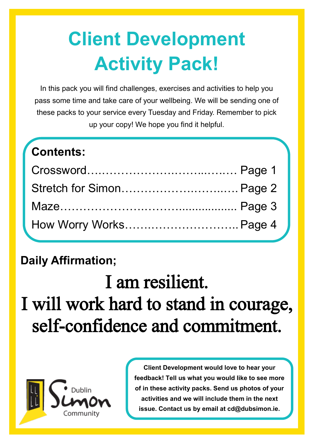# **Client Development Activity Pack!**

In this pack you will find challenges, exercises and activities to help you pass some time and take care of your wellbeing. We will be sending one of these packs to your service every Tuesday and Friday. Remember to pick up your copy! We hope you find it helpful.

| <b>Contents:</b>         |  |
|--------------------------|--|
|                          |  |
| Stretch for Simon Page 2 |  |
|                          |  |
| How Worry Works Page 4   |  |

### **Daily Affirmation;**

I am resilient. I will work hard to stand in courage, self-confidence and commitment.



**Client Development would love to hear your feedback! Tell us what you would like to see more of in these activity packs. Send us photos of your activities and we will include them in the next issue. Contact us by email at cd@dubsimon.ie.**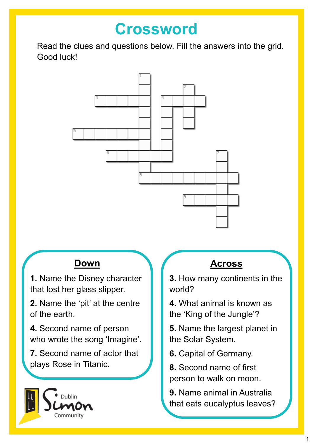### **Crossword**

Read the clues and questions below. Fill the answers into the grid. Good luck!



### **Down**

**1.** Name the Disney character that lost her glass slipper.

**2.** Name the 'pit' at the centre of the earth.

**4.** Second name of person who wrote the song 'Imagine'.

**7.** Second name of actor that plays Rose in Titanic.



### **Across**

**3.** How many continents in the world?

**4.** What animal is known as the 'King of the Jungle'?

**5.** Name the largest planet in the Solar System.

**6.** Capital of Germany.

**8.** Second name of first person to walk on moon.

**9.** Name animal in Australia that eats eucalyptus leaves?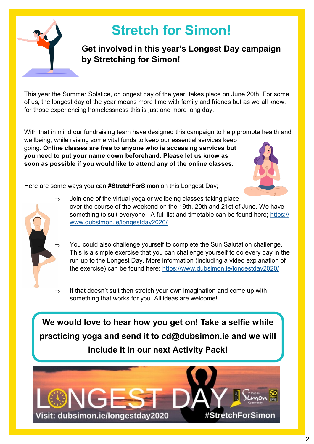

## **Stretch for Simon!**

#### **Get involved in this year's Longest Day campaign by Stretching for Simon!**

This year the Summer Solstice, or longest day of the year, takes place on June 20th. For some of us, the longest day of the year means more time with family and friends but as we all know, for those experiencing homelessness this is just one more long day.

With that in mind our fundraising team have designed this campaign to help promote health and wellbeing, while raising some vital funds to keep our essential services keep going. **Online classes are free to anyone who is accessing services but** 

**you need to put your name down beforehand. Please let us know as soon as possible if you would like to attend any of the online classes.**



Here are some ways you can **#StretchForSimon** on this Longest Day;

- $\Rightarrow$  Join one of the virtual yoga or wellbeing classes taking place over the course of the weekend on the 19th, 20th and 21st of June. We have something to suit everyone! A full list and timetable can be found here; [https://](https://www.dubsimon.ie/longestday2020/) [www.dubsimon.ie/longestday2020/](https://www.dubsimon.ie/longestday2020/)
	- You could also challenge yourself to complete the Sun Salutation challenge. This is a simple exercise that you can challenge yourself to do every day in the run up to the Longest Day. More information (including a video explanation of the exercise) can be found here; <https://www.dubsimon.ie/longestday2020/>
- $\Rightarrow$  If that doesn't suit then stretch your own imagination and come up with something that works for you. All ideas are welcome!

**We would love to hear how you get on! Take a selfie while practicing yoga and send it to cd@dubsimon.ie and we will include it in our next Activity Pack!**

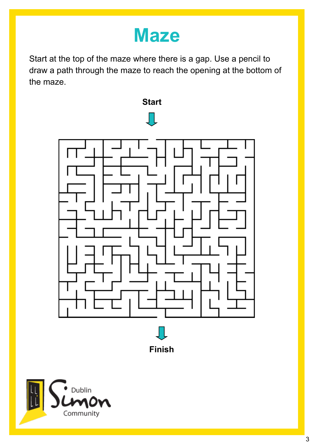# **Maze**

Start at the top of the maze where there is a gap. Use a pencil to draw a path through the maze to reach the opening at the bottom of the maze.